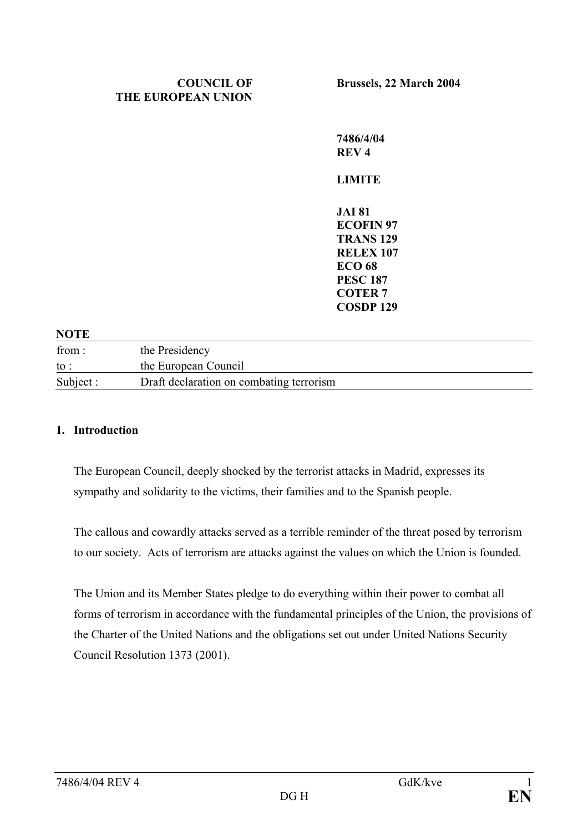#### **COUNCIL OF THE EUROPEAN UNION**

**Brussels, 22 March 2004** 

**7486/4/04 REV 4 LIMITE JAI 81 ECOFIN 97 TRANS 129 RELEX 107 ECO 68 PESC 187 COTER 7 COSDP 129** 

#### **NOTE**

| from:     | the Presidency                           |
|-----------|------------------------------------------|
| $\rm{to}$ | the European Council                     |
| Subject : | Draft declaration on combating terrorism |

#### **1. Introduction**

The European Council, deeply shocked by the terrorist attacks in Madrid, expresses its sympathy and solidarity to the victims, their families and to the Spanish people.

The callous and cowardly attacks served as a terrible reminder of the threat posed by terrorism to our society. Acts of terrorism are attacks against the values on which the Union is founded.

The Union and its Member States pledge to do everything within their power to combat all forms of terrorism in accordance with the fundamental principles of the Union, the provisions of the Charter of the United Nations and the obligations set out under United Nations Security Council Resolution 1373 (2001).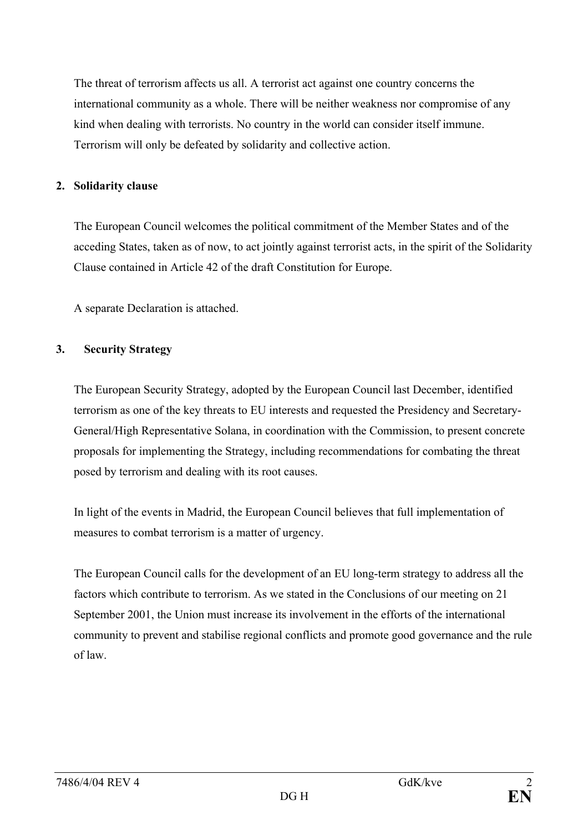The threat of terrorism affects us all. A terrorist act against one country concerns the international community as a whole. There will be neither weakness nor compromise of any kind when dealing with terrorists. No country in the world can consider itself immune. Terrorism will only be defeated by solidarity and collective action.

#### **2. Solidarity clause**

The European Council welcomes the political commitment of the Member States and of the acceding States, taken as of now, to act jointly against terrorist acts, in the spirit of the Solidarity Clause contained in Article 42 of the draft Constitution for Europe.

A separate Declaration is attached.

#### **3. Security Strategy**

The European Security Strategy, adopted by the European Council last December, identified terrorism as one of the key threats to EU interests and requested the Presidency and Secretary-General/High Representative Solana, in coordination with the Commission, to present concrete proposals for implementing the Strategy, including recommendations for combating the threat posed by terrorism and dealing with its root causes.

In light of the events in Madrid, the European Council believes that full implementation of measures to combat terrorism is a matter of urgency.

The European Council calls for the development of an EU long-term strategy to address all the factors which contribute to terrorism. As we stated in the Conclusions of our meeting on 21 September 2001, the Union must increase its involvement in the efforts of the international community to prevent and stabilise regional conflicts and promote good governance and the rule of law.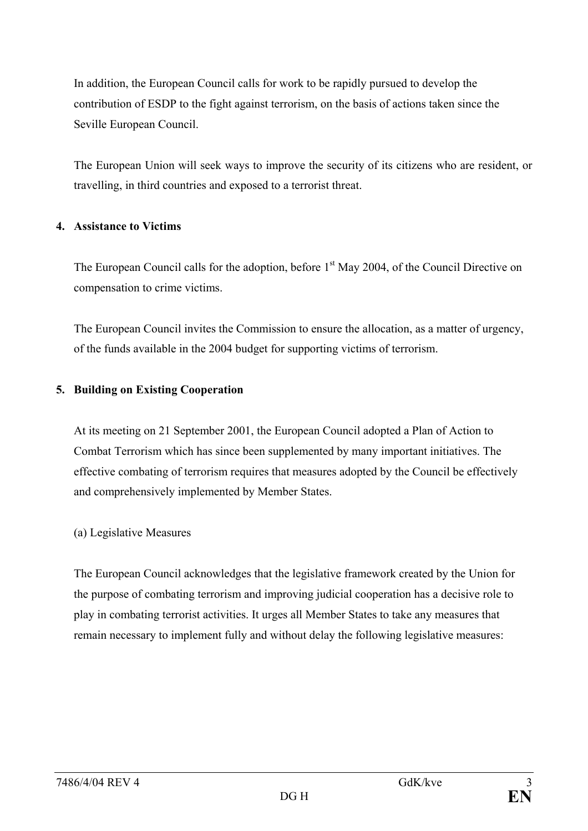In addition, the European Council calls for work to be rapidly pursued to develop the contribution of ESDP to the fight against terrorism, on the basis of actions taken since the Seville European Council.

The European Union will seek ways to improve the security of its citizens who are resident, or travelling, in third countries and exposed to a terrorist threat.

### **4. Assistance to Victims**

The European Council calls for the adoption, before  $1<sup>st</sup>$  May 2004, of the Council Directive on compensation to crime victims.

The European Council invites the Commission to ensure the allocation, as a matter of urgency, of the funds available in the 2004 budget for supporting victims of terrorism.

### **5. Building on Existing Cooperation**

At its meeting on 21 September 2001, the European Council adopted a Plan of Action to Combat Terrorism which has since been supplemented by many important initiatives. The effective combating of terrorism requires that measures adopted by the Council be effectively and comprehensively implemented by Member States.

### (a) Legislative Measures

The European Council acknowledges that the legislative framework created by the Union for the purpose of combating terrorism and improving judicial cooperation has a decisive role to play in combating terrorist activities. It urges all Member States to take any measures that remain necessary to implement fully and without delay the following legislative measures: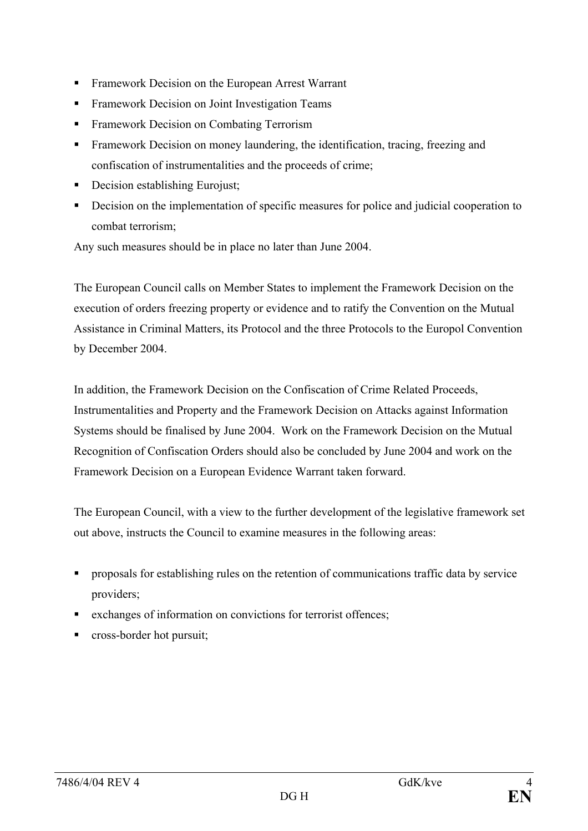- **Framework Decision on the European Arrest Warrant**
- **Framework Decision on Joint Investigation Teams**
- **Framework Decision on Combating Terrorism**
- **Framework Decision on money laundering, the identification, tracing, freezing and** confiscation of instrumentalities and the proceeds of crime;
- Decision establishing Eurojust;
- **•** Decision on the implementation of specific measures for police and judicial cooperation to combat terrorism;

Any such measures should be in place no later than June 2004.

The European Council calls on Member States to implement the Framework Decision on the execution of orders freezing property or evidence and to ratify the Convention on the Mutual Assistance in Criminal Matters, its Protocol and the three Protocols to the Europol Convention by December 2004.

In addition, the Framework Decision on the Confiscation of Crime Related Proceeds, Instrumentalities and Property and the Framework Decision on Attacks against Information Systems should be finalised by June 2004. Work on the Framework Decision on the Mutual Recognition of Confiscation Orders should also be concluded by June 2004 and work on the Framework Decision on a European Evidence Warrant taken forward.

The European Council, with a view to the further development of the legislative framework set out above, instructs the Council to examine measures in the following areas:

- **•** proposals for establishing rules on the retention of communications traffic data by service providers;
- **Exchanges of information on convictions for terrorist offences;**
- cross-border hot pursuit;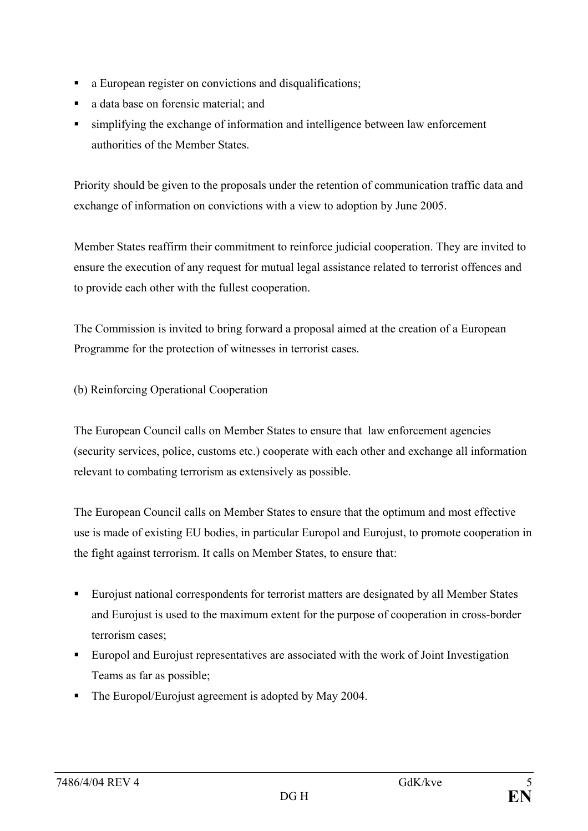- a European register on convictions and disqualifications;
- a data base on forensic material; and
- simplifying the exchange of information and intelligence between law enforcement authorities of the Member States.

Priority should be given to the proposals under the retention of communication traffic data and exchange of information on convictions with a view to adoption by June 2005.

Member States reaffirm their commitment to reinforce judicial cooperation. They are invited to ensure the execution of any request for mutual legal assistance related to terrorist offences and to provide each other with the fullest cooperation.

The Commission is invited to bring forward a proposal aimed at the creation of a European Programme for the protection of witnesses in terrorist cases.

### (b) Reinforcing Operational Cooperation

The European Council calls on Member States to ensure that law enforcement agencies (security services, police, customs etc.) cooperate with each other and exchange all information relevant to combating terrorism as extensively as possible.

The European Council calls on Member States to ensure that the optimum and most effective use is made of existing EU bodies, in particular Europol and Eurojust, to promote cooperation in the fight against terrorism. It calls on Member States, to ensure that:

- Eurojust national correspondents for terrorist matters are designated by all Member States and Eurojust is used to the maximum extent for the purpose of cooperation in cross-border terrorism cases;
- Europol and Eurojust representatives are associated with the work of Joint Investigation Teams as far as possible;
- The Europol/Eurojust agreement is adopted by May 2004.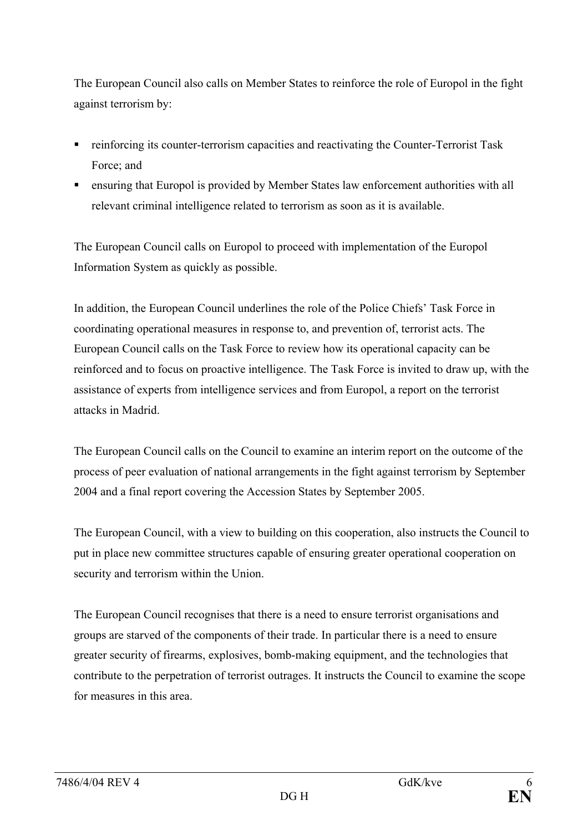The European Council also calls on Member States to reinforce the role of Europol in the fight against terrorism by:

- reinforcing its counter-terrorism capacities and reactivating the Counter-Terrorist Task Force; and
- ensuring that Europol is provided by Member States law enforcement authorities with all relevant criminal intelligence related to terrorism as soon as it is available.

The European Council calls on Europol to proceed with implementation of the Europol Information System as quickly as possible.

In addition, the European Council underlines the role of the Police Chiefs' Task Force in coordinating operational measures in response to, and prevention of, terrorist acts. The European Council calls on the Task Force to review how its operational capacity can be reinforced and to focus on proactive intelligence. The Task Force is invited to draw up, with the assistance of experts from intelligence services and from Europol, a report on the terrorist attacks in Madrid.

The European Council calls on the Council to examine an interim report on the outcome of the process of peer evaluation of national arrangements in the fight against terrorism by September 2004 and a final report covering the Accession States by September 2005.

The European Council, with a view to building on this cooperation, also instructs the Council to put in place new committee structures capable of ensuring greater operational cooperation on security and terrorism within the Union.

The European Council recognises that there is a need to ensure terrorist organisations and groups are starved of the components of their trade. In particular there is a need to ensure greater security of firearms, explosives, bomb-making equipment, and the technologies that contribute to the perpetration of terrorist outrages. It instructs the Council to examine the scope for measures in this area.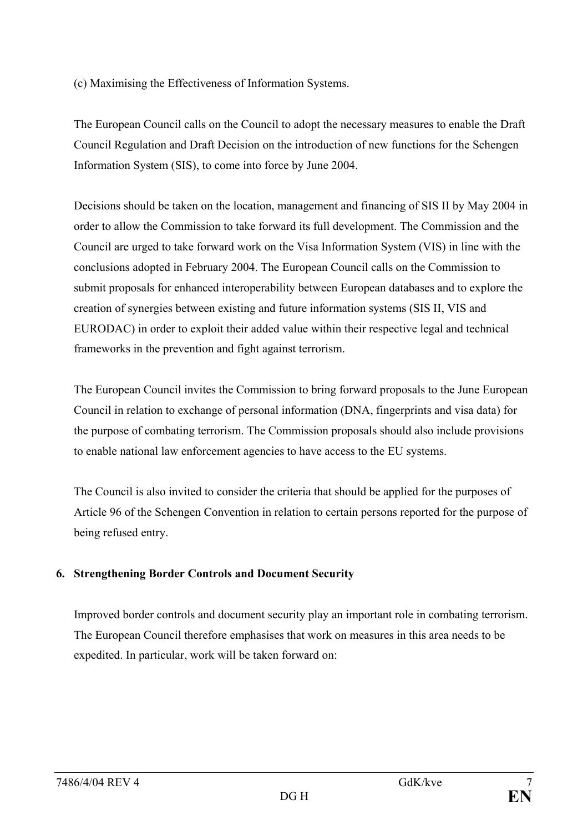(c) Maximising the Effectiveness of Information Systems.

The European Council calls on the Council to adopt the necessary measures to enable the Draft Council Regulation and Draft Decision on the introduction of new functions for the Schengen Information System (SIS), to come into force by June 2004.

Decisions should be taken on the location, management and financing of SIS II by May 2004 in order to allow the Commission to take forward its full development. The Commission and the Council are urged to take forward work on the Visa Information System (VIS) in line with the conclusions adopted in February 2004. The European Council calls on the Commission to submit proposals for enhanced interoperability between European databases and to explore the creation of synergies between existing and future information systems (SIS II, VIS and EURODAC) in order to exploit their added value within their respective legal and technical frameworks in the prevention and fight against terrorism.

The European Council invites the Commission to bring forward proposals to the June European Council in relation to exchange of personal information (DNA, fingerprints and visa data) for the purpose of combating terrorism. The Commission proposals should also include provisions to enable national law enforcement agencies to have access to the EU systems.

The Council is also invited to consider the criteria that should be applied for the purposes of Article 96 of the Schengen Convention in relation to certain persons reported for the purpose of being refused entry.

### **6. Strengthening Border Controls and Document Security**

Improved border controls and document security play an important role in combating terrorism. The European Council therefore emphasises that work on measures in this area needs to be expedited. In particular, work will be taken forward on: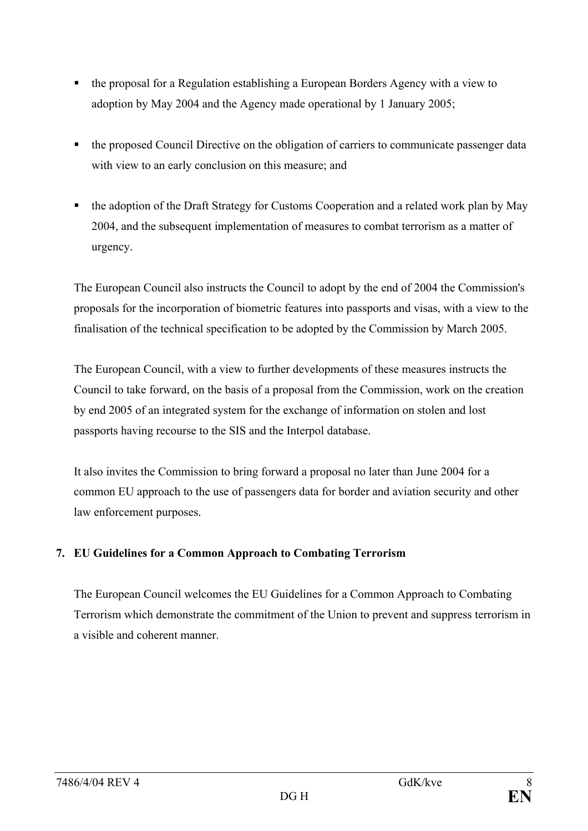- the proposal for a Regulation establishing a European Borders Agency with a view to adoption by May 2004 and the Agency made operational by 1 January 2005;
- the proposed Council Directive on the obligation of carriers to communicate passenger data with view to an early conclusion on this measure; and
- the adoption of the Draft Strategy for Customs Cooperation and a related work plan by May 2004, and the subsequent implementation of measures to combat terrorism as a matter of urgency.

The European Council also instructs the Council to adopt by the end of 2004 the Commission's proposals for the incorporation of biometric features into passports and visas, with a view to the finalisation of the technical specification to be adopted by the Commission by March 2005.

The European Council, with a view to further developments of these measures instructs the Council to take forward, on the basis of a proposal from the Commission, work on the creation by end 2005 of an integrated system for the exchange of information on stolen and lost passports having recourse to the SIS and the Interpol database.

It also invites the Commission to bring forward a proposal no later than June 2004 for a common EU approach to the use of passengers data for border and aviation security and other law enforcement purposes.

### **7. EU Guidelines for a Common Approach to Combating Terrorism**

The European Council welcomes the EU Guidelines for a Common Approach to Combating Terrorism which demonstrate the commitment of the Union to prevent and suppress terrorism in a visible and coherent manner.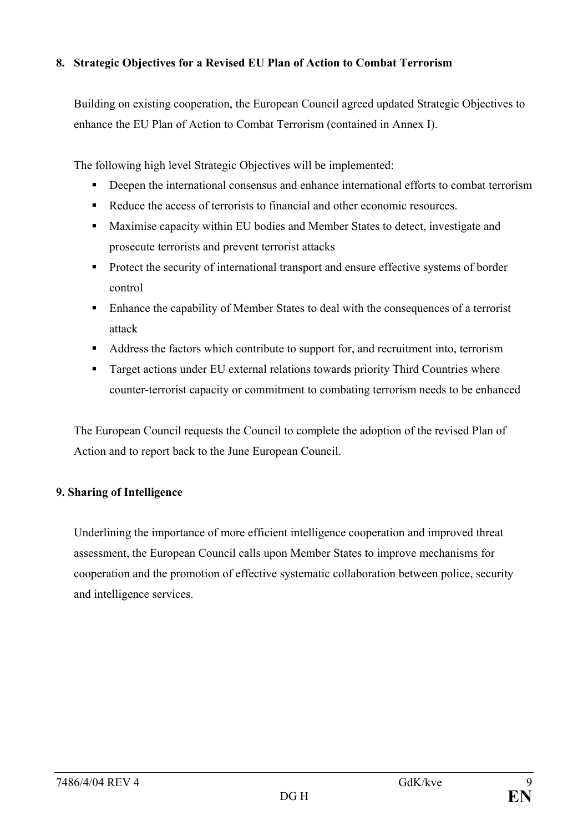### **8. Strategic Objectives for a Revised EU Plan of Action to Combat Terrorism**

Building on existing cooperation, the European Council agreed updated Strategic Objectives to enhance the EU Plan of Action to Combat Terrorism (contained in Annex I).

The following high level Strategic Objectives will be implemented:

- **•** Deepen the international consensus and enhance international efforts to combat terrorism
- Reduce the access of terrorists to financial and other economic resources.
- Maximise capacity within EU bodies and Member States to detect, investigate and prosecute terrorists and prevent terrorist attacks
- Protect the security of international transport and ensure effective systems of border control
- Enhance the capability of Member States to deal with the consequences of a terrorist attack
- Address the factors which contribute to support for, and recruitment into, terrorism
- Target actions under EU external relations towards priority Third Countries where counter-terrorist capacity or commitment to combating terrorism needs to be enhanced

The European Council requests the Council to complete the adoption of the revised Plan of Action and to report back to the June European Council.

### **9. Sharing of Intelligence**

Underlining the importance of more efficient intelligence cooperation and improved threat assessment, the European Council calls upon Member States to improve mechanisms for cooperation and the promotion of effective systematic collaboration between police, security and intelligence services.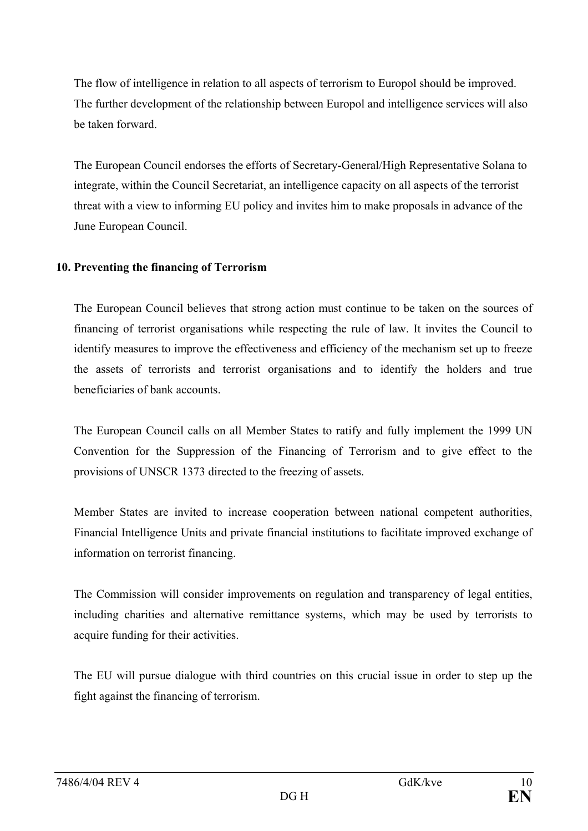The flow of intelligence in relation to all aspects of terrorism to Europol should be improved. The further development of the relationship between Europol and intelligence services will also be taken forward.

The European Council endorses the efforts of Secretary-General/High Representative Solana to integrate, within the Council Secretariat, an intelligence capacity on all aspects of the terrorist threat with a view to informing EU policy and invites him to make proposals in advance of the June European Council.

### **10. Preventing the financing of Terrorism**

The European Council believes that strong action must continue to be taken on the sources of financing of terrorist organisations while respecting the rule of law. It invites the Council to identify measures to improve the effectiveness and efficiency of the mechanism set up to freeze the assets of terrorists and terrorist organisations and to identify the holders and true beneficiaries of bank accounts.

The European Council calls on all Member States to ratify and fully implement the 1999 UN Convention for the Suppression of the Financing of Terrorism and to give effect to the provisions of UNSCR 1373 directed to the freezing of assets.

Member States are invited to increase cooperation between national competent authorities, Financial Intelligence Units and private financial institutions to facilitate improved exchange of information on terrorist financing.

The Commission will consider improvements on regulation and transparency of legal entities, including charities and alternative remittance systems, which may be used by terrorists to acquire funding for their activities.

The EU will pursue dialogue with third countries on this crucial issue in order to step up the fight against the financing of terrorism.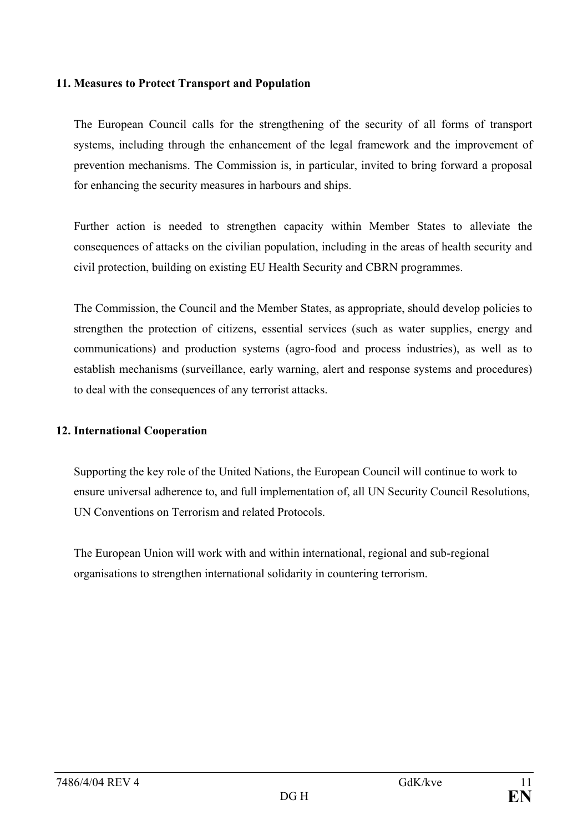#### **11. Measures to Protect Transport and Population**

The European Council calls for the strengthening of the security of all forms of transport systems, including through the enhancement of the legal framework and the improvement of prevention mechanisms. The Commission is, in particular, invited to bring forward a proposal for enhancing the security measures in harbours and ships.

Further action is needed to strengthen capacity within Member States to alleviate the consequences of attacks on the civilian population, including in the areas of health security and civil protection, building on existing EU Health Security and CBRN programmes.

The Commission, the Council and the Member States, as appropriate, should develop policies to strengthen the protection of citizens, essential services (such as water supplies, energy and communications) and production systems (agro-food and process industries), as well as to establish mechanisms (surveillance, early warning, alert and response systems and procedures) to deal with the consequences of any terrorist attacks.

### **12. International Cooperation**

Supporting the key role of the United Nations, the European Council will continue to work to ensure universal adherence to, and full implementation of, all UN Security Council Resolutions, UN Conventions on Terrorism and related Protocols.

The European Union will work with and within international, regional and sub-regional organisations to strengthen international solidarity in countering terrorism.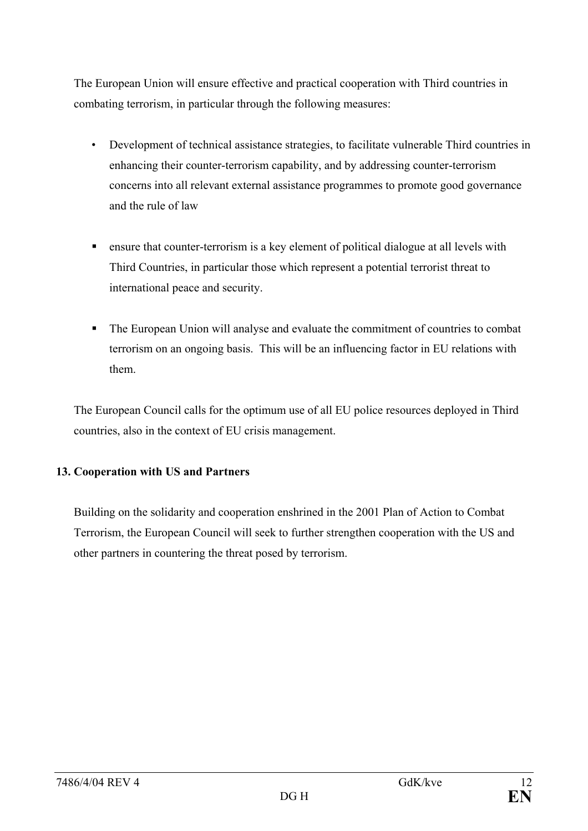The European Union will ensure effective and practical cooperation with Third countries in combating terrorism, in particular through the following measures:

- Development of technical assistance strategies, to facilitate vulnerable Third countries in enhancing their counter-terrorism capability, and by addressing counter-terrorism concerns into all relevant external assistance programmes to promote good governance and the rule of law
- ensure that counter-terrorism is a key element of political dialogue at all levels with Third Countries, in particular those which represent a potential terrorist threat to international peace and security.
- The European Union will analyse and evaluate the commitment of countries to combat terrorism on an ongoing basis. This will be an influencing factor in EU relations with them.

The European Council calls for the optimum use of all EU police resources deployed in Third countries, also in the context of EU crisis management.

### **13. Cooperation with US and Partners**

Building on the solidarity and cooperation enshrined in the 2001 Plan of Action to Combat Terrorism, the European Council will seek to further strengthen cooperation with the US and other partners in countering the threat posed by terrorism.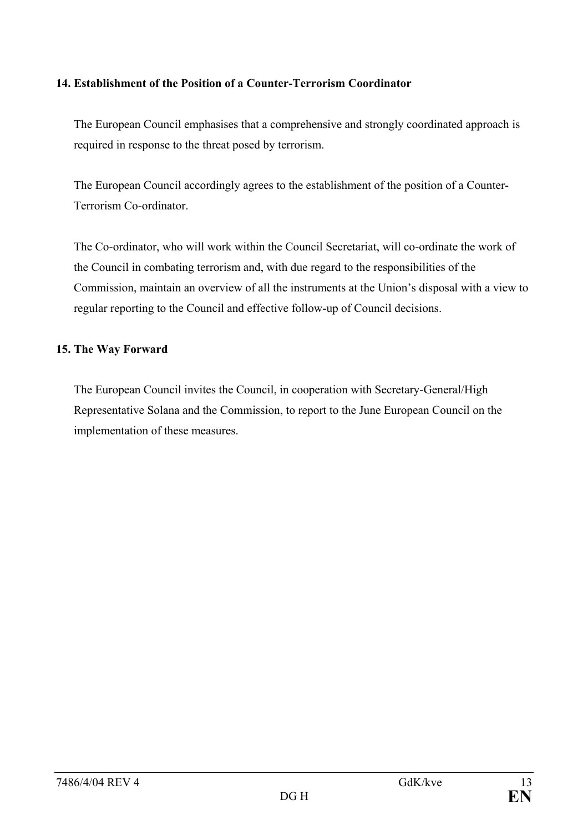### **14. Establishment of the Position of a Counter-Terrorism Coordinator**

The European Council emphasises that a comprehensive and strongly coordinated approach is required in response to the threat posed by terrorism.

The European Council accordingly agrees to the establishment of the position of a Counter-Terrorism Co-ordinator.

The Co-ordinator, who will work within the Council Secretariat, will co-ordinate the work of the Council in combating terrorism and, with due regard to the responsibilities of the Commission, maintain an overview of all the instruments at the Union's disposal with a view to regular reporting to the Council and effective follow-up of Council decisions.

### **15. The Way Forward**

The European Council invites the Council, in cooperation with Secretary-General/High Representative Solana and the Commission, to report to the June European Council on the implementation of these measures.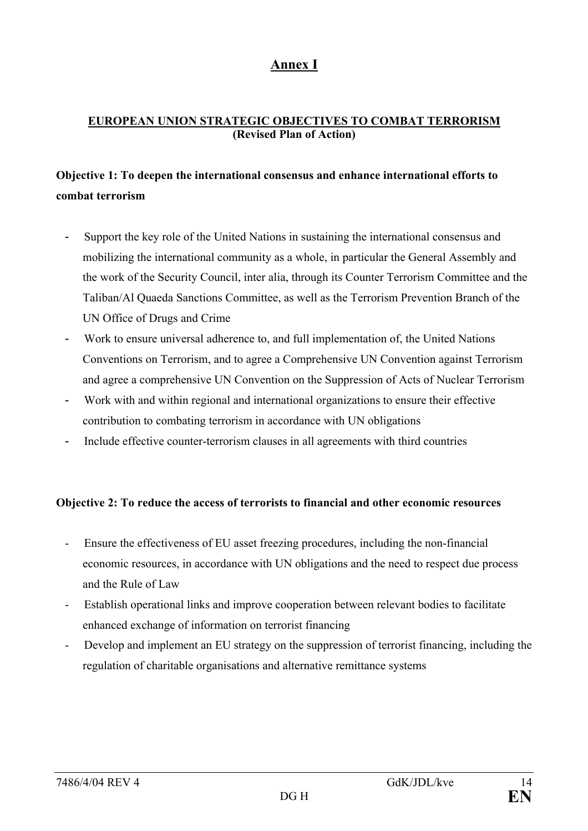## **Annex I**

### **EUROPEAN UNION STRATEGIC OBJECTIVES TO COMBAT TERRORISM (Revised Plan of Action)**

## **Objective 1: To deepen the international consensus and enhance international efforts to combat terrorism**

- Support the key role of the United Nations in sustaining the international consensus and mobilizing the international community as a whole, in particular the General Assembly and the work of the Security Council, inter alia, through its Counter Terrorism Committee and the Taliban/Al Quaeda Sanctions Committee, as well as the Terrorism Prevention Branch of the UN Office of Drugs and Crime
- Work to ensure universal adherence to, and full implementation of, the United Nations Conventions on Terrorism, and to agree a Comprehensive UN Convention against Terrorism and agree a comprehensive UN Convention on the Suppression of Acts of Nuclear Terrorism
- Work with and within regional and international organizations to ensure their effective contribution to combating terrorism in accordance with UN obligations
- Include effective counter-terrorism clauses in all agreements with third countries

### **Objective 2: To reduce the access of terrorists to financial and other economic resources**

- Ensure the effectiveness of EU asset freezing procedures, including the non-financial economic resources, in accordance with UN obligations and the need to respect due process and the Rule of Law
- Establish operational links and improve cooperation between relevant bodies to facilitate enhanced exchange of information on terrorist financing
- Develop and implement an EU strategy on the suppression of terrorist financing, including the regulation of charitable organisations and alternative remittance systems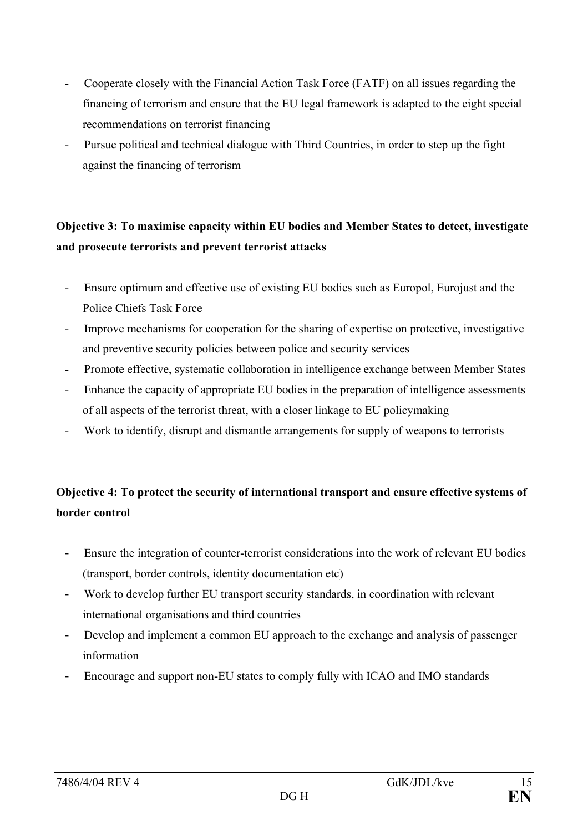- Cooperate closely with the Financial Action Task Force (FATF) on all issues regarding the financing of terrorism and ensure that the EU legal framework is adapted to the eight special recommendations on terrorist financing
- Pursue political and technical dialogue with Third Countries, in order to step up the fight against the financing of terrorism

# **Objective 3: To maximise capacity within EU bodies and Member States to detect, investigate and prosecute terrorists and prevent terrorist attacks**

- Ensure optimum and effective use of existing EU bodies such as Europol, Eurojust and the Police Chiefs Task Force
- Improve mechanisms for cooperation for the sharing of expertise on protective, investigative and preventive security policies between police and security services
- Promote effective, systematic collaboration in intelligence exchange between Member States
- Enhance the capacity of appropriate EU bodies in the preparation of intelligence assessments of all aspects of the terrorist threat, with a closer linkage to EU policymaking
- Work to identify, disrupt and dismantle arrangements for supply of weapons to terrorists

# **Objective 4: To protect the security of international transport and ensure effective systems of border control**

- Ensure the integration of counter-terrorist considerations into the work of relevant EU bodies (transport, border controls, identity documentation etc)
- Work to develop further EU transport security standards, in coordination with relevant international organisations and third countries
- Develop and implement a common EU approach to the exchange and analysis of passenger information
- Encourage and support non-EU states to comply fully with ICAO and IMO standards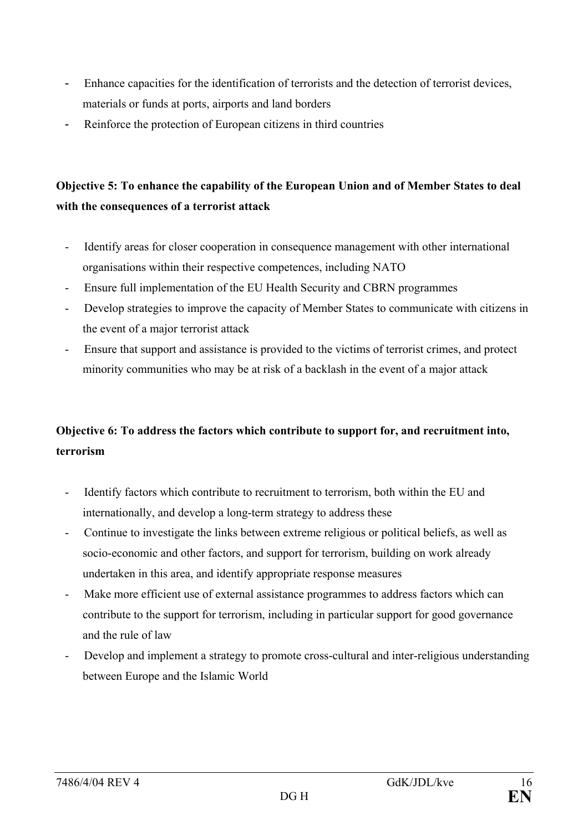- Enhance capacities for the identification of terrorists and the detection of terrorist devices, materials or funds at ports, airports and land borders
- Reinforce the protection of European citizens in third countries

# **Objective 5: To enhance the capability of the European Union and of Member States to deal with the consequences of a terrorist attack**

- Identify areas for closer cooperation in consequence management with other international organisations within their respective competences, including NATO
- Ensure full implementation of the EU Health Security and CBRN programmes
- Develop strategies to improve the capacity of Member States to communicate with citizens in the event of a major terrorist attack
- Ensure that support and assistance is provided to the victims of terrorist crimes, and protect minority communities who may be at risk of a backlash in the event of a major attack

## **Objective 6: To address the factors which contribute to support for, and recruitment into, terrorism**

- Identify factors which contribute to recruitment to terrorism, both within the EU and internationally, and develop a long-term strategy to address these
- Continue to investigate the links between extreme religious or political beliefs, as well as socio-economic and other factors, and support for terrorism, building on work already undertaken in this area, and identify appropriate response measures
- Make more efficient use of external assistance programmes to address factors which can contribute to the support for terrorism, including in particular support for good governance and the rule of law
- Develop and implement a strategy to promote cross-cultural and inter-religious understanding between Europe and the Islamic World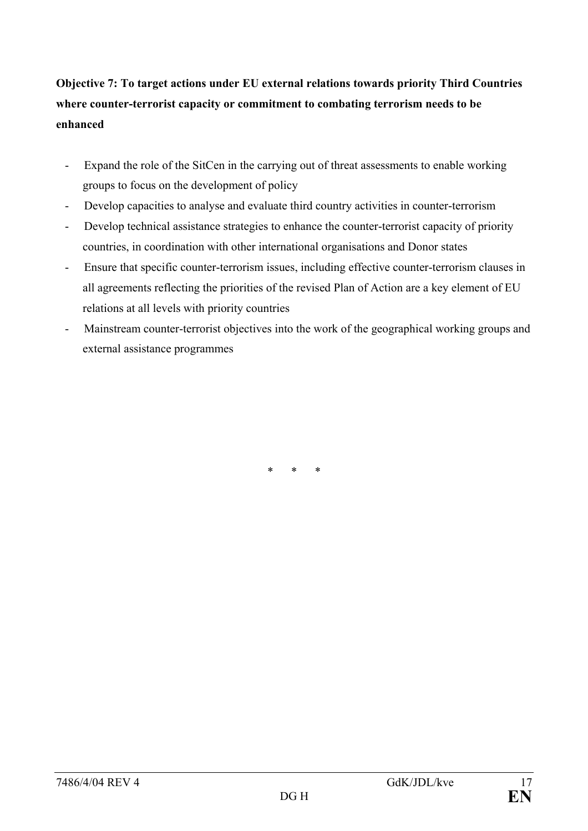# **Objective 7: To target actions under EU external relations towards priority Third Countries where counter-terrorist capacity or commitment to combating terrorism needs to be enhanced**

- Expand the role of the SitCen in the carrying out of threat assessments to enable working groups to focus on the development of policy
- Develop capacities to analyse and evaluate third country activities in counter-terrorism
- Develop technical assistance strategies to enhance the counter-terrorist capacity of priority countries, in coordination with other international organisations and Donor states
- Ensure that specific counter-terrorism issues, including effective counter-terrorism clauses in all agreements reflecting the priorities of the revised Plan of Action are a key element of EU relations at all levels with priority countries
- Mainstream counter-terrorist objectives into the work of the geographical working groups and external assistance programmes

\* \* \*